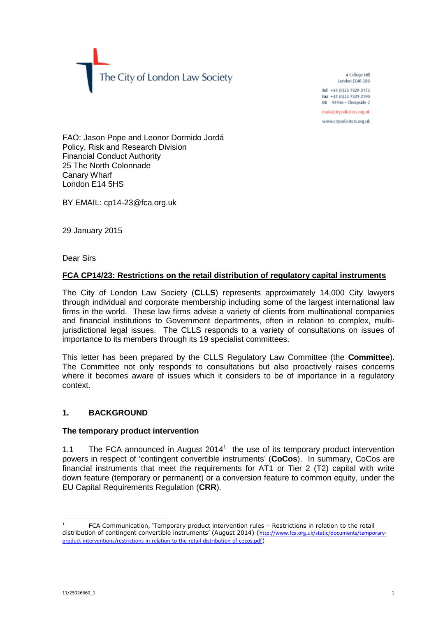The City of London Law Society

4 College Hill London EC4R 2RB

Tel +44 (0)20 7329 2173 Fax +44 (0)20 7329 2190 DX 98936 - Cheapside 2

mail@citysolicitors.org.uk

www.citysolicitors.org.uk

FAO: Jason Pope and Leonor Dormido Jordá Policy, Risk and Research Division Financial Conduct Authority 25 The North Colonnade Canary Wharf London E14 5HS

BY EMAIL: cp14-23@fca.org.uk

29 January 2015

Dear Sirs

# **FCA CP14/23: Restrictions on the retail distribution of regulatory capital instruments**

The City of London Law Society (**CLLS**) represents approximately 14,000 City lawyers through individual and corporate membership including some of the largest international law firms in the world. These law firms advise a variety of clients from multinational companies and financial institutions to Government departments, often in relation to complex, multijurisdictional legal issues. The CLLS responds to a variety of consultations on issues of importance to its members through its 19 specialist committees.

This letter has been prepared by the CLLS Regulatory Law Committee (the **Committee**). The Committee not only responds to consultations but also proactively raises concerns where it becomes aware of issues which it considers to be of importance in a regulatory context.

## **1. BACKGROUND**

## **The temporary product intervention**

1.1The FCA announced in August  $2014<sup>1</sup>$  $2014<sup>1</sup>$  $2014<sup>1</sup>$  the use of its temporary product intervention powers in respect of 'contingent convertible instruments' (**CoCos**). In summary, CoCos are financial instruments that meet the requirements for AT1 or Tier 2 (T2) capital with write down feature (temporary or permanent) or a conversion feature to common equity, under the EU Capital Requirements Regulation (**CRR**).

<span id="page-0-0"></span><sup>1</sup> FCA Communication, 'Temporary product intervention rules – Restrictions in relation to the retail distribution of contingent convertible instruments' (August 2014) (http://www.fca.org.uk/static/documents/temporaryproduct-interventions/restrictions-in-relation-to-the-retail-distribution-of-cocos.pdf)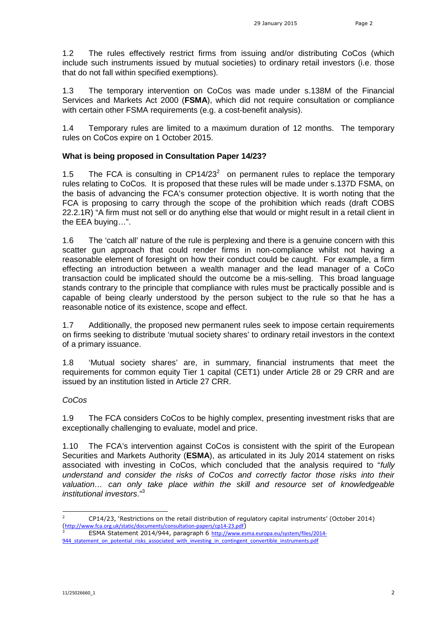1.2 The rules effectively restrict firms from issuing and/or distributing CoCos (which include such instruments issued by mutual societies) to ordinary retail investors (i.e. those that do not fall within specified exemptions).

1.3 The temporary intervention on CoCos was made under s.138M of the Financial Services and Markets Act 2000 (**FSMA**), which did not require consultation or compliance with certain other FSMA requirements (e.g. a cost-benefit analysis).

1.4 Temporary rules are limited to a maximum duration of 12 months. The temporary rules on CoCos expire on 1 October 2015.

## **What is being proposed in Consultation Paper 14/23?**

1.5 The FCA is consulting in CP14/23 $2$  on permanent rules to replace the temporary rules relating to CoCos. It is proposedthat [t](#page-1-0)hese rules will be made under s.137D FSMA, on the basis of advancing the FCA's consumer protection objective. It is worth noting that the FCA is proposing to carry through the scope of the prohibition which reads (draft COBS 22.2.1R) "A firm must not sell or do anything else that would or might result in a retail client in the EEA buying…".

1.6 The 'catch all' nature of the rule is perplexing and there is a genuine concern with this scatter gun approach that could render firms in non-compliance whilst not having a reasonable element of foresight on how their conduct could be caught. For example, a firm effecting an introduction between a wealth manager and the lead manager of a CoCo transaction could be implicated should the outcome be a mis-selling. This broad language stands contrary to the principle that compliance with rules must be practically possible and is capable of being clearly understood by the person subject to the rule so that he has a reasonable notice of its existence, scope and effect.

1.7 Additionally, the proposed new permanent rules seek to impose certain requirements on firms seeking to distribute 'mutual society shares' to ordinary retail investors in the context of a primary issuance.

1.8 'Mutual society shares' are, in summary, financial instruments that meet the requirements for common equity Tier 1 capital (CET1) under Article 28 or 29 CRR and are issued by an institution listed in Article 27 CRR.

## *CoCos*

1.9 The FCA considers CoCos to be highly complex, presenting investment risks that are exceptionally challenging to evaluate, model and price.

1.10 The FCA's intervention against CoCos is consistent with the spirit of the European Securities and Markets Authority (**ESMA**), as articulated in its July 2014 statement on risks associated with investing in CoCos, which concluded that the analysis required to "*fully understand and consider the risks of CoCos and correctly factor those risks into their valuation… can only take place within the skill and resource set of knowledgeable institutional investors*."[3](#page-1-1)

<span id="page-1-0"></span><sup>2</sup> CP14/23, 'Restrictions on the retail distribution of regulatory capital instruments' (October 2014) (http://www.fca.org.uk/static/documents/consultation-papers/cp14-23.pdf)

<span id="page-1-1"></span>ESMA Statement 2014/944, paragraph 6 http://www.esma.europa.eu/system/files/2014-944 statement on potential risks associated with investing in contingent convertible instruments.pdf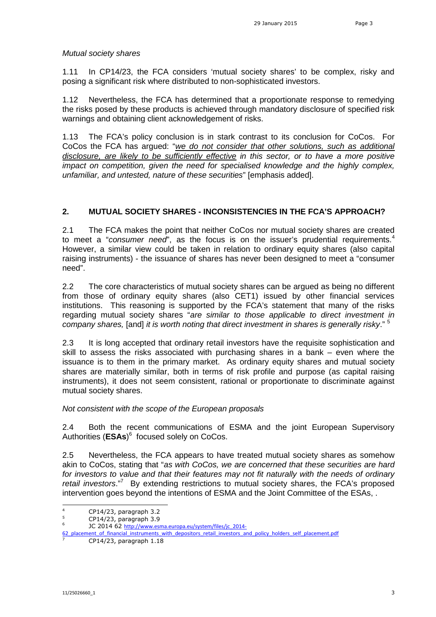## *Mutual society shares*

1.11 In CP14/23, the FCA considers 'mutual society shares' to be complex, risky and posing a significant risk where distributed to non-sophisticated investors.

1.12 Nevertheless, the FCA has determined that a proportionate response to remedying the risks posed by these products is achieved through mandatory disclosure of specified risk warnings and obtaining client acknowledgement of risks.

1.13 The FCA's policy conclusion is in stark contrast to its conclusion for CoCos. For CoCos the FCA has argued: "*we do not consider that other solutions, such as additional disclosure, are likely to be sufficiently effective in this sector, or to have a more positive impact on competition, given the need for specialised knowledge and the highly complex, unfamiliar, and untested, nature of these securities*" [emphasis added].

## **2. MUTUAL SOCIETY SHARES - INCONSISTENCIES IN THE FCA'S APPROACH?**

2.1 The FCA makes the point that neither CoCos nor mutual society shares are created to meet a "*consumer need*", as the focus is on the issuer's prudential requirements.<sup>[4](#page-2-0)</sup> However, a similar view could be taken in relation to ordinary equity shares (also capital raising instruments) - the issuance of shares has never been designed to meet a "consumer need".

2.2 The core characteristics of mutual society shares can be argued as being no different from those of ordinary equity shares (also CET1) issued by other financial services institutions. This reasoning is supported by the FCA's statement that many of the risks regarding mutual society shares "*are similar to those applicable to direct investment in company shares,* [and] *it is worth noting that direct investment in shares is generally risky*." [5](#page-2-1)

2.3 It is long accepted that ordinary retail investors have the requisite sophistication and skill to assess the risks associated with purchasing shares in a bank – even where the issuance is to them in the primary market. As ordinary equity shares and mutual society shares are materially similar, both in terms of risk profile and purpose (as capital raising instruments), it does not seem consistent, rational or proportionate to discriminate against mutual society shares.

## *Not consistent with the scope of the European proposals*

2.4 Both the recent communications of ESMA and the joint European Supervisory Authorities (**ESAs**) [6](#page-2-2) focused solely on CoCos.

2.5 Nevertheless, the FCA appears to have treated mutual society shares as somehow akin to CoCos, stating that "*as with CoCos, we are concerned that these securities are hard for investors to value and that their features may not fit naturally with the needs of ordinary retail investors*."[7](#page-2-3) By extending restrictions to mutual society shares, the FCA's proposed intervention goes beyond the intentions of ESMA and the Joint Committee of the ESAs, .

<span id="page-2-1"></span><span id="page-2-0"></span> $^{4}$  CP14/23, paragraph 3.2

<span id="page-2-2"></span><sup>5</sup> CP14/23, paragraph 3.9 6

JC 2014 62 http://www.esma.europa.eu/system/files/jc\_2014-

<sup>62</sup>\_placement\_of\_financial\_instruments\_with\_depositors\_retail\_investors\_and\_policy\_holders\_self\_placement.pdf

<span id="page-2-3"></span>CP14/23, paragraph 1.18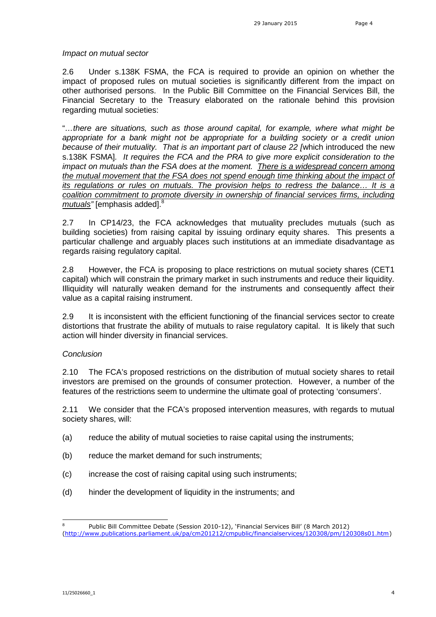#### *Impact on mutual sector*

2.6 Under s.138K FSMA, the FCA is required to provide an opinion on whether the impact of proposed rules on mutual societies is significantly different from the impact on other authorised persons. In the Public Bill Committee on the Financial Services Bill, the Financial Secretary to the Treasury elaborated on the rationale behind this provision regarding mutual societies:

"*…there are situations, such as those around capital, for example, where what might be appropriate for a bank might not be appropriate for a building society or a credit union because of their mutuality. That is an important part of clause 22 [*which introduced the new s.138K FSMA]*. It requires the FCA and the PRA to give more explicit consideration to the impact on mutuals than the FSA does at the moment. There is a widespread concern among the mutual movement that the FSA does not spend enough time thinking about the impact of its regulations or rules on mutuals. The provision helps to redress the balance… It is a coalition commitment to promote diversity in ownership of financial services firms, including mutuals"* [emphasis added].[8](#page-3-0)

2.7 In CP14/23, the FCA acknowledges that mutuality precludes mutuals (such as building societies) from raising capital by issuing ordinary equity shares. This presents a particular challenge and arguably places such institutions at an immediate disadvantage as regards raising regulatory capital.

2.8 However, the FCA is proposing to place restrictions on mutual society shares (CET1 capital) which will constrain the primary market in such instruments and reduce their liquidity. Illiquidity will naturally weaken demand for the instruments and consequently affect their value as a capital raising instrument.

2.9 It is inconsistent with the efficient functioning of the financial services sector to create distortions that frustrate the ability of mutuals to raise regulatory capital. It is likely that such action will hinder diversity in financial services.

## *Conclusion*

2.10 The FCA's proposed restrictions on the distribution of mutual society shares to retail investors are premised on the grounds of consumer protection. However, a number of the features of the restrictions seem to undermine the ultimate goal of protecting 'consumers'.

2.11 We consider that the FCA's proposed intervention measures, with regards to mutual society shares, will:

- (a) reduce the ability of mutual societies to raise capital using the instruments;
- (b) reduce the market demand for such instruments;
- (c) increase the cost of raising capital using such instruments;
- (d) hinder the development of liquidity in the instruments; and

<span id="page-3-0"></span><sup>8</sup> Public Bill Committee Debate (Session 2010-12), 'Financial Services Bill' (8 March 2012) (http://www.publications.parliament.uk/pa/cm201212/cmpublic/financialservices/120308/pm/120308s01.htm)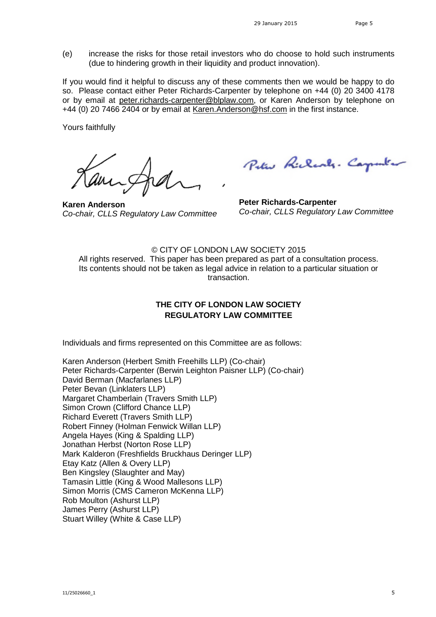(e) increase the risks for those retail investors who do choose to hold such instruments (due to hindering growth in their liquidity and product innovation).

If you would find it helpful to discuss any of these comments then we would be happy to do so. Please contact either Peter Richards-Carpenter by telephone on +44 (0) 20 3400 4178 or by emailat [peter.richards-carpenter@blplaw.com](mailto:peter.richards-carpenter@blplaw.com), or Karen Anderson by telephone on +44 (0) 20 7466 2404 or by emailat [Karen.Anderson@hsf.com](mailto:Karen.Anderson@hsf.com) in the first instance.

Yours faithfully

**Karen Anderson** *Co-chair, CLLS Regulatory Law Committee*

Peter Richards. Carpenter

**Peter Richards-Carpenter** *Co-chair, CLLS Regulatory Law Committee*

© CITY OF LONDON LAW SOCIETY 2015 All rights reserved. This paper has been prepared as part of a consultation process. Its contents should not be taken as legal advice in relation to a particular situation or transaction.

# **THE CITY OF LONDON LAW SOCIETY REGULATORY LAW COMMITTEE**

Individuals and firms represented on this Committee are as follows:

Karen Anderson (Herbert Smith Freehills LLP) (Co-chair) Peter Richards-Carpenter (Berwin Leighton Paisner LLP) (Co-chair) David Berman (Macfarlanes LLP) Peter Bevan (Linklaters LLP) Margaret Chamberlain (Travers Smith LLP) Simon Crown (Clifford Chance LLP) Richard Everett (Travers Smith LLP) Robert Finney (Holman Fenwick Willan LLP) Angela Hayes (King & Spalding LLP) Jonathan Herbst (Norton Rose LLP) Mark Kalderon (Freshfields Bruckhaus Deringer LLP) Etay Katz (Allen & Overy LLP) Ben Kingsley (Slaughter and May) Tamasin Little (King & Wood Mallesons LLP) Simon Morris (CMS Cameron McKenna LLP) Rob Moulton (Ashurst LLP) James Perry (Ashurst LLP) Stuart Willey (White & Case LLP)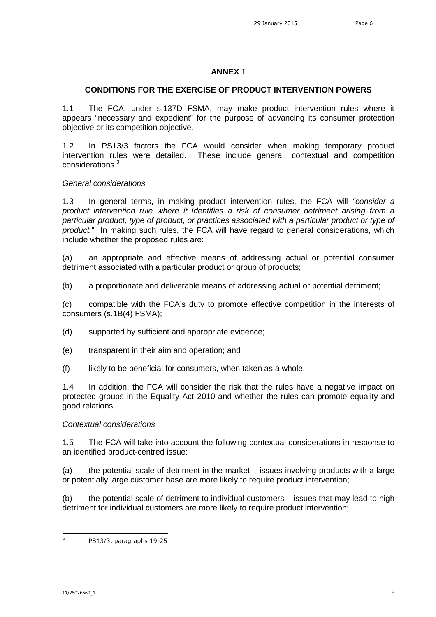## **ANNEX 1**

### **CONDITIONS FOR THE EXERCISE OF PRODUCT INTERVENTION POWERS**

1.1 The FCA, under s.137D FSMA, may make product intervention rules where it appears "necessary and expedient" for the purpose of advancing its consumer protection objective or its competition objective.

1.2 In PS13/3 factors the FCA would consider when making temporary product intervention rules were detailed. These include general, contextual and competition considerations.[9](#page-5-0)

#### *General considerations*

1.3 In general terms, in making product intervention rules, the FCA will *"consider a product intervention rule where it identifies a risk of consumer detriment arising from a particular product, type of product, or practices associated with a particular product or type of product.*" In making such rules, the FCA will have regard to general considerations, which include whether the proposed rules are:

(a) an appropriate and effective means of addressing actual or potential consumer detriment associated with a particular product or group of products;

(b) a proportionate and deliverable means of addressing actual or potential detriment;

(c) compatible with the FCA's duty to promote effective competition in the interests of consumers (s.1B(4) FSMA);

(d) supported by sufficient and appropriate evidence;

- (e) transparent in their aim and operation; and
- $(f)$  likely to be beneficial for consumers, when taken as a whole.

1.4 In addition, the FCA will consider the risk that the rules have a negative impact on protected groups in the Equality Act 2010 and whether the rules can promote equality and good relations.

## *Contextual considerations*

1.5 The FCA will take into account the following contextual considerations in response to an identified product-centred issue:

(a) the potential scale of detriment in the market – issues involving products with a large or potentially large customer base are more likely to require product intervention;

(b) the potential scale of detriment to individual customers – issues that may lead to high detriment for individual customers are more likely to require product intervention;

<span id="page-5-0"></span><sup>9</sup> PS13/3, paragraphs 19-25